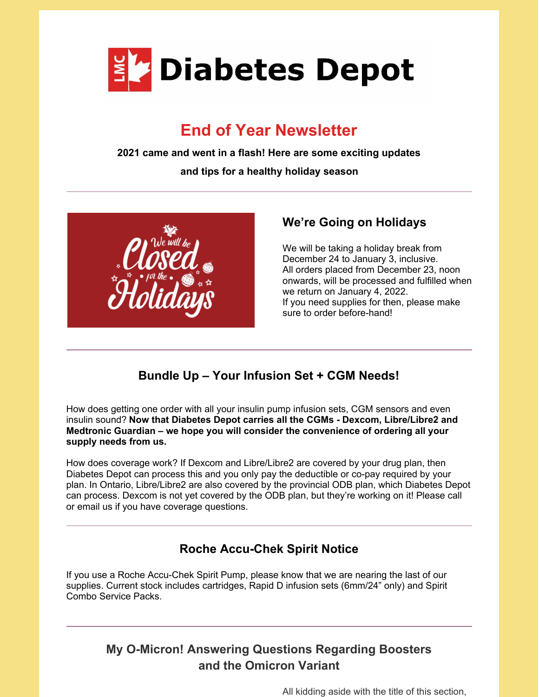

# **End of Year Newsletter**

**2021 came and went in a flash! Here are some exciting updates**

**and tips for a healthy holiday season**



#### **We're Going on Holidays**

We will be taking a holiday break from December 24 to January 3, inclusive. All orders placed from December 23, noon onwards, will be processed and fulfilled when we return on January 4, 2022. If you need supplies for then, please make sure to order before-hand!

### **Bundle Up – Your Infusion Set + CGM Needs!**

How does getting one order with all your insulin pump infusion sets, CGM sensors and even insulin sound? **Now that Diabetes Depot carries all the CGMs - Dexcom, Libre/Libre2 and Medtronic Guardian – we hope you will consider the convenience of ordering all your supply needs from us.**

How does coverage work? If Dexcom and Libre/Libre2 are covered by your drug plan, then Diabetes Depot can process this and you only pay the deductible or co-pay required by your plan. In Ontario, Libre/Libre2 are also covered by the provincial ODB plan, which Diabetes Depot can process. Dexcom is not yet covered by the ODB plan, but they're working on it! Please call or email us if you have coverage questions.

### **Roche Accu-Chek Spirit Notice**

If you use a Roche Accu-Chek Spirit Pump, please know that we are nearing the last of our supplies. Current stock includes cartridges, Rapid D infusion sets (6mm/24" only) and Spirit Combo Service Packs.

#### **My O-Micron! Answering Questions Regarding Boosters and the Omicron Variant**

All kidding aside with the title of this section,